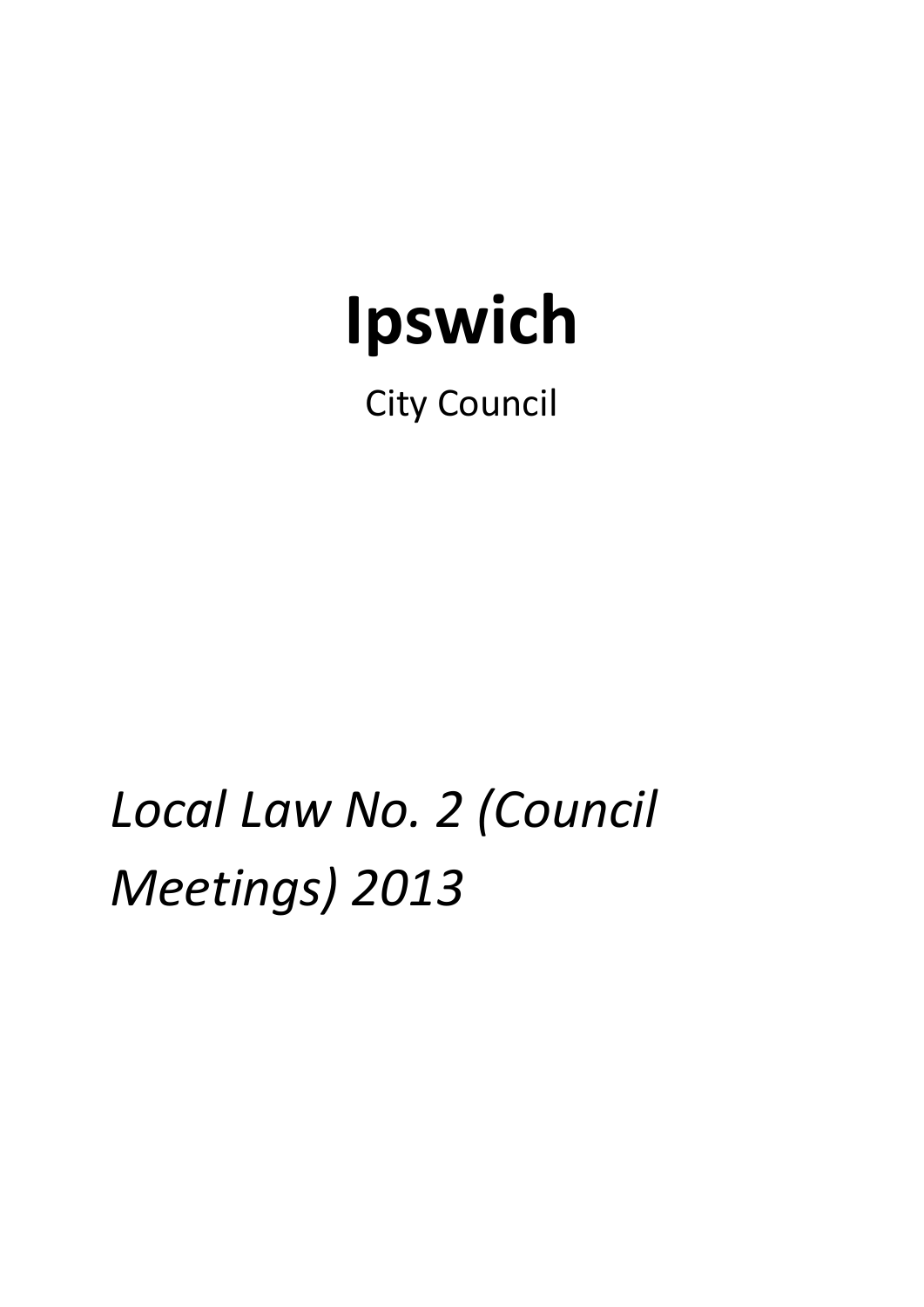# **Ipswich**

City Council

*Local Law No. 2 (Council Meetings) 2013*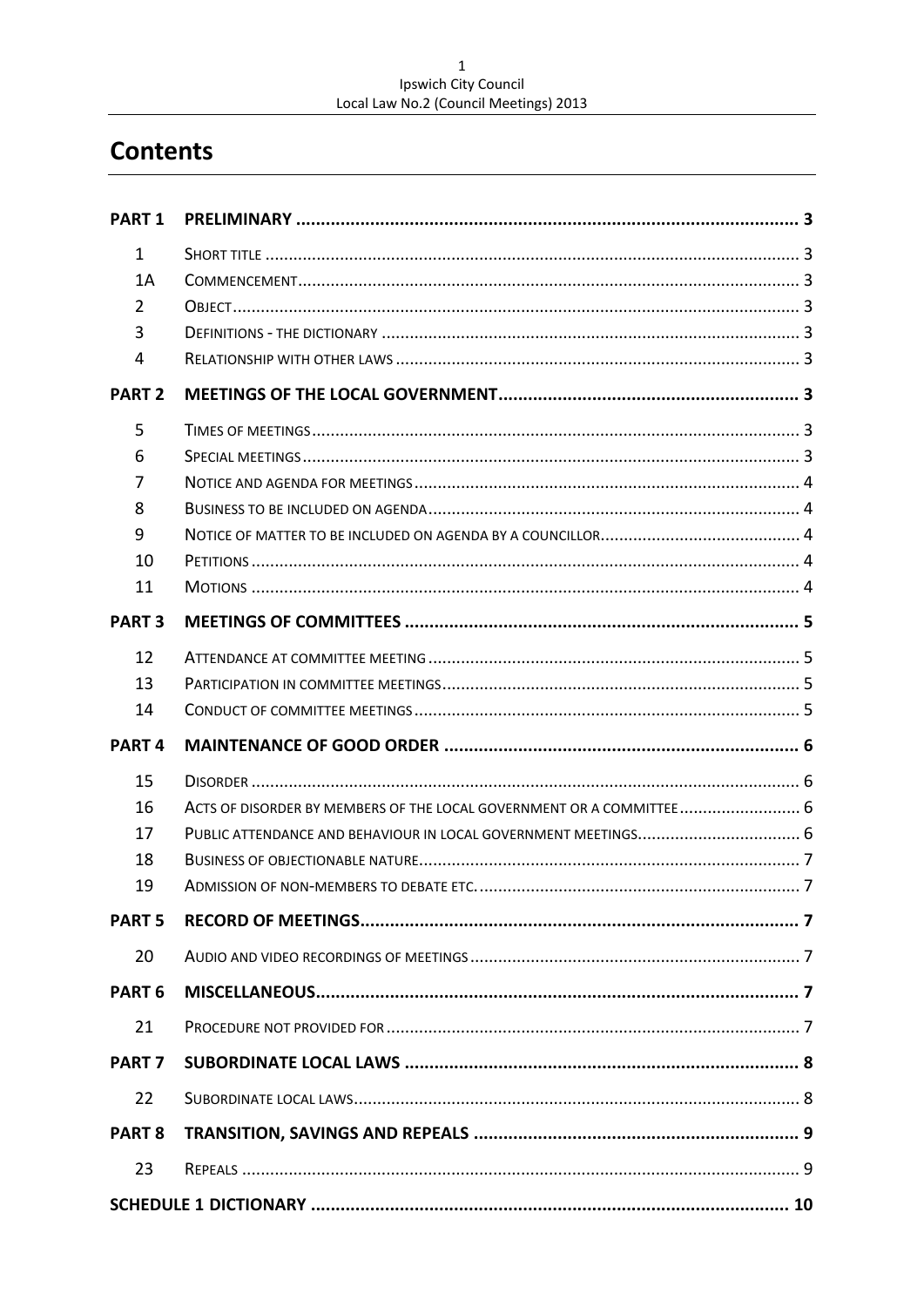# $\mathbf 1$ Ipswich City Council<br>Local Law No.2 (Council Meetings) 2013

# **Contents**

| <b>PART1</b>      |                                                                      |  |
|-------------------|----------------------------------------------------------------------|--|
| $\mathbf{1}$      |                                                                      |  |
| 1A                |                                                                      |  |
| $\overline{2}$    |                                                                      |  |
| 3                 |                                                                      |  |
| 4                 |                                                                      |  |
| <b>PART 2</b>     |                                                                      |  |
| 5                 |                                                                      |  |
| 6                 |                                                                      |  |
| 7                 |                                                                      |  |
| 8                 |                                                                      |  |
| 9                 |                                                                      |  |
| 10                |                                                                      |  |
| 11                |                                                                      |  |
| <b>PART 3</b>     |                                                                      |  |
| 12                |                                                                      |  |
| 13                |                                                                      |  |
| 14                |                                                                      |  |
| PART <sub>4</sub> |                                                                      |  |
| 15                |                                                                      |  |
| 16                | ACTS OF DISORDER BY MEMBERS OF THE LOCAL GOVERNMENT OR A COMMITTEE 6 |  |
| 17                |                                                                      |  |
| 18                |                                                                      |  |
| 19                |                                                                      |  |
| <b>PART 5</b>     |                                                                      |  |
| 20                |                                                                      |  |
| PART <sub>6</sub> |                                                                      |  |
| 21                |                                                                      |  |
| <b>PART 7</b>     |                                                                      |  |
| 22                |                                                                      |  |
| <b>PART 8</b>     |                                                                      |  |
| 23                |                                                                      |  |
|                   |                                                                      |  |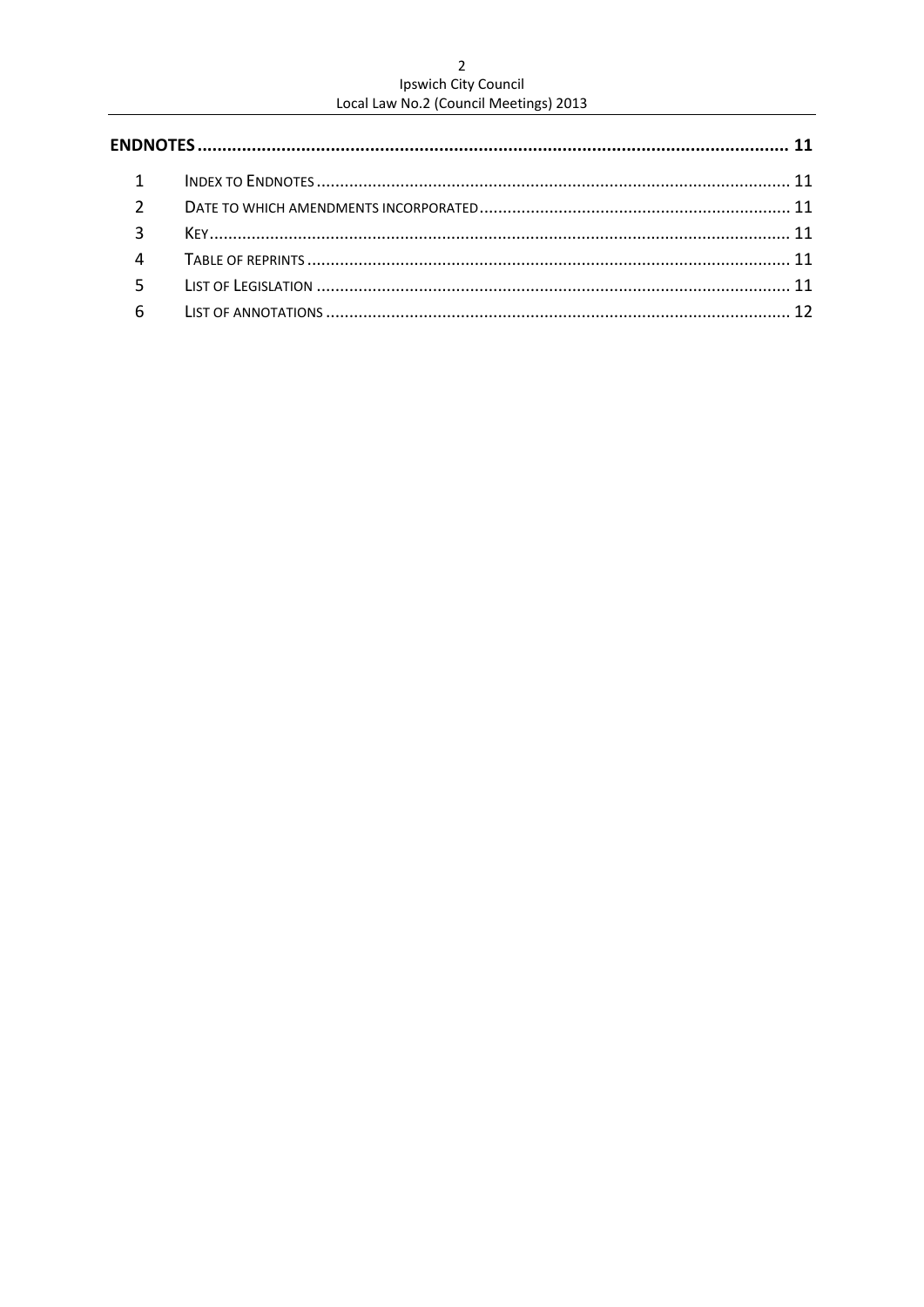# $\overline{c}$ Ipswich City Council<br>Local Law No.2 (Council Meetings) 2013

| $\mathbf{1}$   |  |  |
|----------------|--|--|
| 2              |  |  |
| $\mathbf{3}$   |  |  |
| $\overline{4}$ |  |  |
| 5              |  |  |
| 6              |  |  |
|                |  |  |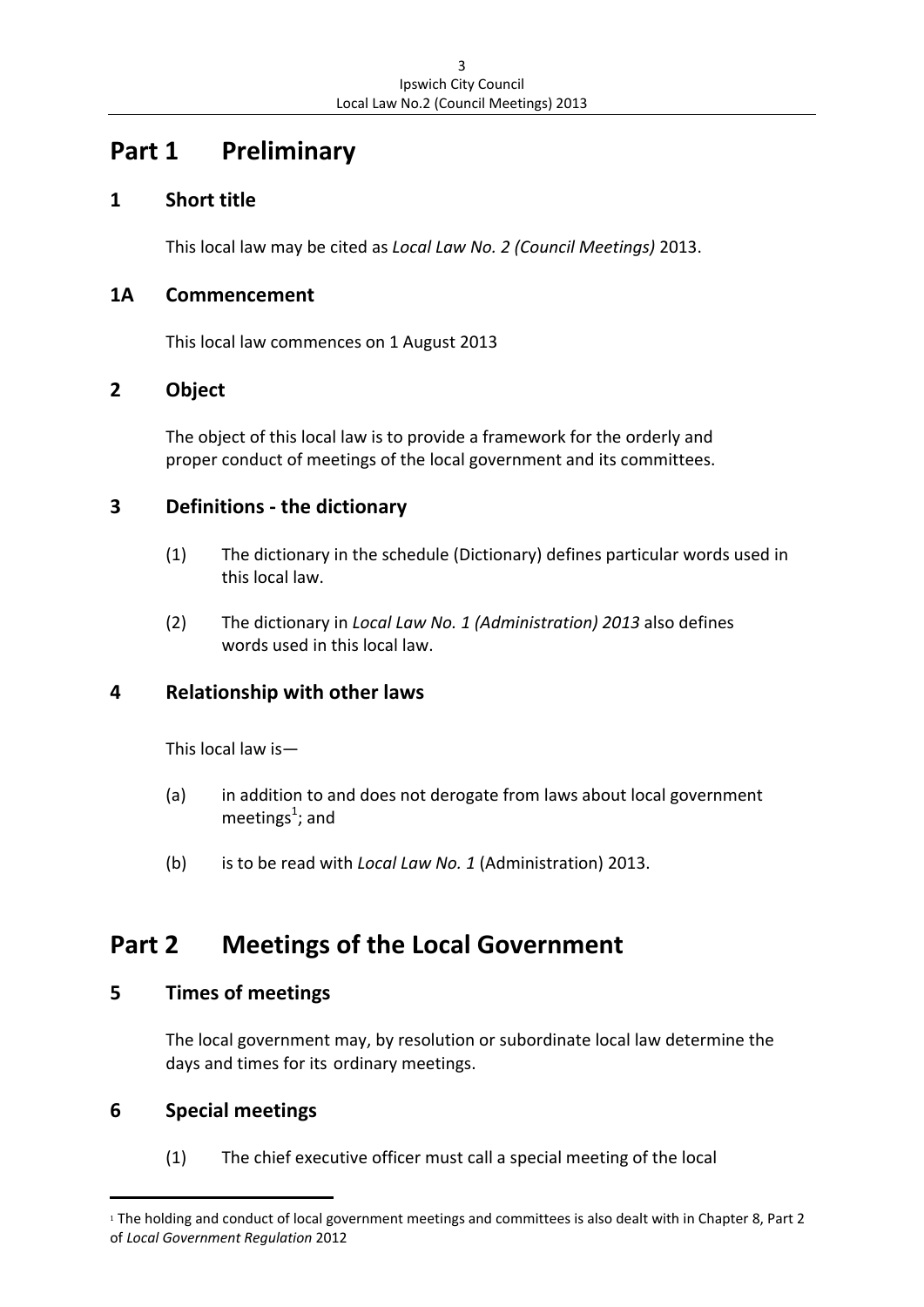# **Part 1 Preliminary**

## **1 Short title**

This local law may be cited as *Local Law No. 2 (Council Meetings)* 2013.

#### **1A Commencement**

This local law commences on 1 August 2013

## **2 Object**

The object of this local law is to provide a framework for the orderly and proper conduct of meetings of the local government and its committees.

## **3 Definitions ‐ the dictionary**

- (1) The dictionary in the schedule (Dictionary) defines particular words used in this local law.
- (2) The dictionary in *Local Law No. 1 (Administration) 2013* also defines words used in this local law.

## **4 Relationship with other laws**

This local law is—

- (a) in addition to and does not derogate from laws about local government meetings<sup>1</sup>; and
	- (b) is to be read with *Local Law No. 1* (Administration) 2013.

# **Part 2 Meetings of the Local Government**

#### **5 Times of meetings**

The local government may, by resolution or subordinate local law determine the days and times for its ordinary meetings.

## **6 Special meetings**

(1) The chief executive officer must call a special meeting of the local

<sup>1</sup> The holding and conduct of local government meetings and committees is also dealt with in Chapter 8, Part 2 of *Local Government Regulation* 2012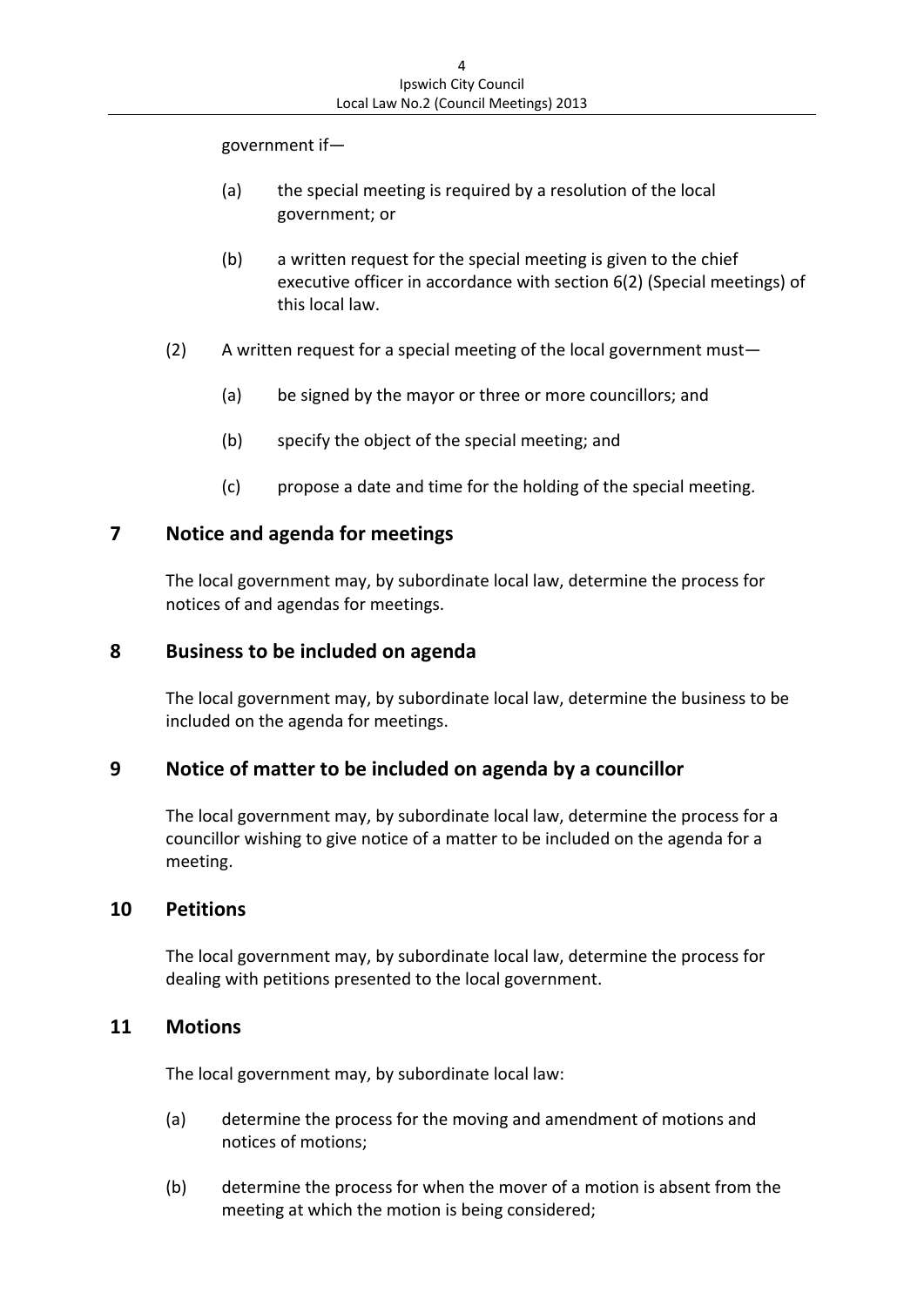government if—

- (a) the special meeting is required by a resolution of the local government; or
- (b) a written request for the special meeting is given to the chief executive officer in accordance with section 6(2) (Special meetings) of this local law.
- (2) A written request for a special meeting of the local government must—
	- (a) be signed by the mayor or three or more councillors; and
	- (b) specify the object of the special meeting; and
	- (c) propose a date and time for the holding of the special meeting.

#### **7 Notice and agenda for meetings**

The local government may, by subordinate local law, determine the process for notices of and agendas for meetings.

#### **8 Business to be included on agenda**

The local government may, by subordinate local law, determine the business to be included on the agenda for meetings.

#### **9 Notice of matter to be included on agenda by a councillor**

The local government may, by subordinate local law, determine the process for a councillor wishing to give notice of a matter to be included on the agenda for a meeting.

#### **10 Petitions**

The local government may, by subordinate local law, determine the process for dealing with petitions presented to the local government.

#### **11 Motions**

The local government may, by subordinate local law:

- (a) determine the process for the moving and amendment of motions and notices of motions;
- (b) determine the process for when the mover of a motion is absent from the meeting at which the motion is being considered;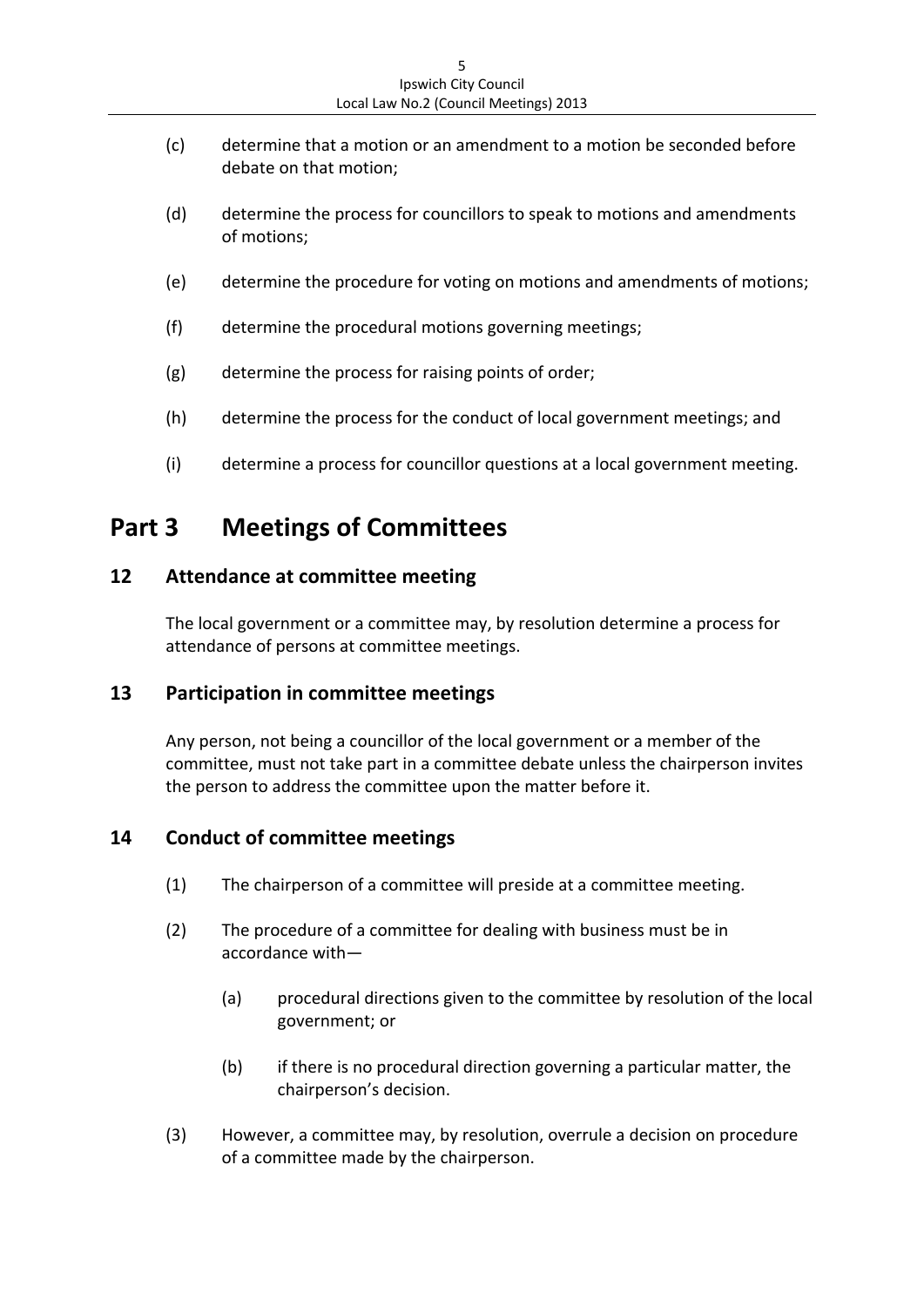- (c) determine that a motion or an amendment to a motion be seconded before debate on that motion;
- (d) determine the process for councillors to speak to motions and amendments of motions;
- (e) determine the procedure for voting on motions and amendments of motions;
- (f) determine the procedural motions governing meetings;
- (g) determine the process for raising points of order;
- (h) determine the process for the conduct of local government meetings; and
- (i) determine a process for councillor questions at a local government meeting.

# **Part 3 Meetings of Committees**

#### **12 Attendance at committee meeting**

The local government or a committee may, by resolution determine a process for attendance of persons at committee meetings.

#### **13 Participation in committee meetings**

Any person, not being a councillor of the local government or a member of the committee, must not take part in a committee debate unless the chairperson invites the person to address the committee upon the matter before it.

#### **14 Conduct of committee meetings**

- (1) The chairperson of a committee will preside at a committee meeting.
- (2) The procedure of a committee for dealing with business must be in accordance with—
	- (a) procedural directions given to the committee by resolution of the local government; or
	- (b) if there is no procedural direction governing a particular matter, the chairperson's decision.
- (3) However, a committee may, by resolution, overrule a decision on procedure of a committee made by the chairperson.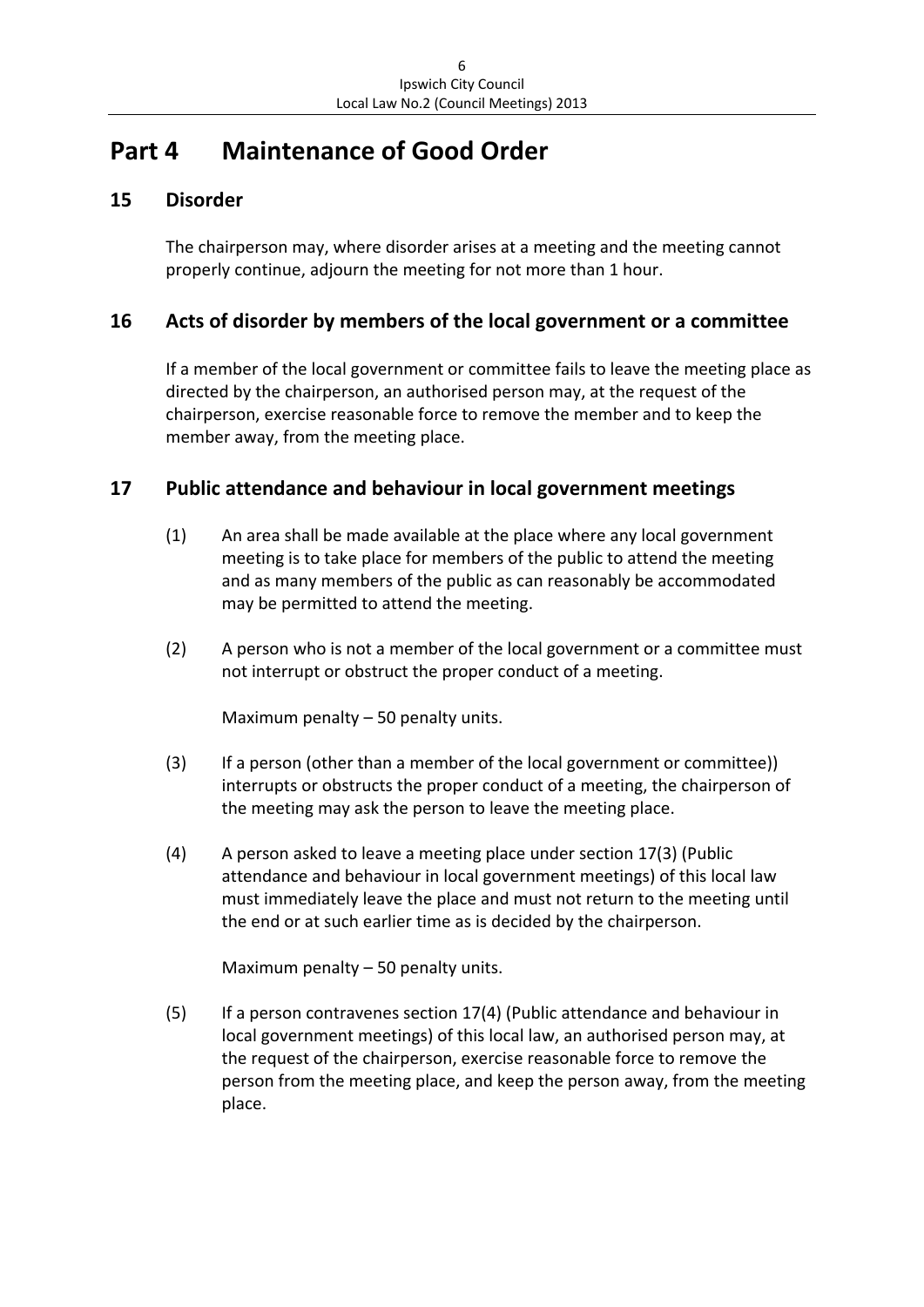# **Part 4 Maintenance of Good Order**

## **15 Disorder**

The chairperson may, where disorder arises at a meeting and the meeting cannot properly continue, adjourn the meeting for not more than 1 hour.

#### **16 Acts of disorder by members of the local government or a committee**

If a member of the local government or committee fails to leave the meeting place as directed by the chairperson, an authorised person may, at the request of the chairperson, exercise reasonable force to remove the member and to keep the member away, from the meeting place.

#### **17 Public attendance and behaviour in local government meetings**

- (1) An area shall be made available at the place where any local government meeting is to take place for members of the public to attend the meeting and as many members of the public as can reasonably be accommodated may be permitted to attend the meeting.
- (2) A person who is not a member of the local government or a committee must not interrupt or obstruct the proper conduct of a meeting.

Maximum penalty - 50 penalty units.

- (3) If a person (other than a member of the local government or committee)) interrupts or obstructs the proper conduct of a meeting, the chairperson of the meeting may ask the person to leave the meeting place.
- (4) A person asked to leave a meeting place under section 17(3) (Public attendance and behaviour in local government meetings) of this local law must immediately leave the place and must not return to the meeting until the end or at such earlier time as is decided by the chairperson.

Maximum penalty – 50 penalty units.

(5) If a person contravenes section 17(4) (Public attendance and behaviour in local government meetings) of this local law, an authorised person may, at the request of the chairperson, exercise reasonable force to remove the person from the meeting place, and keep the person away, from the meeting place.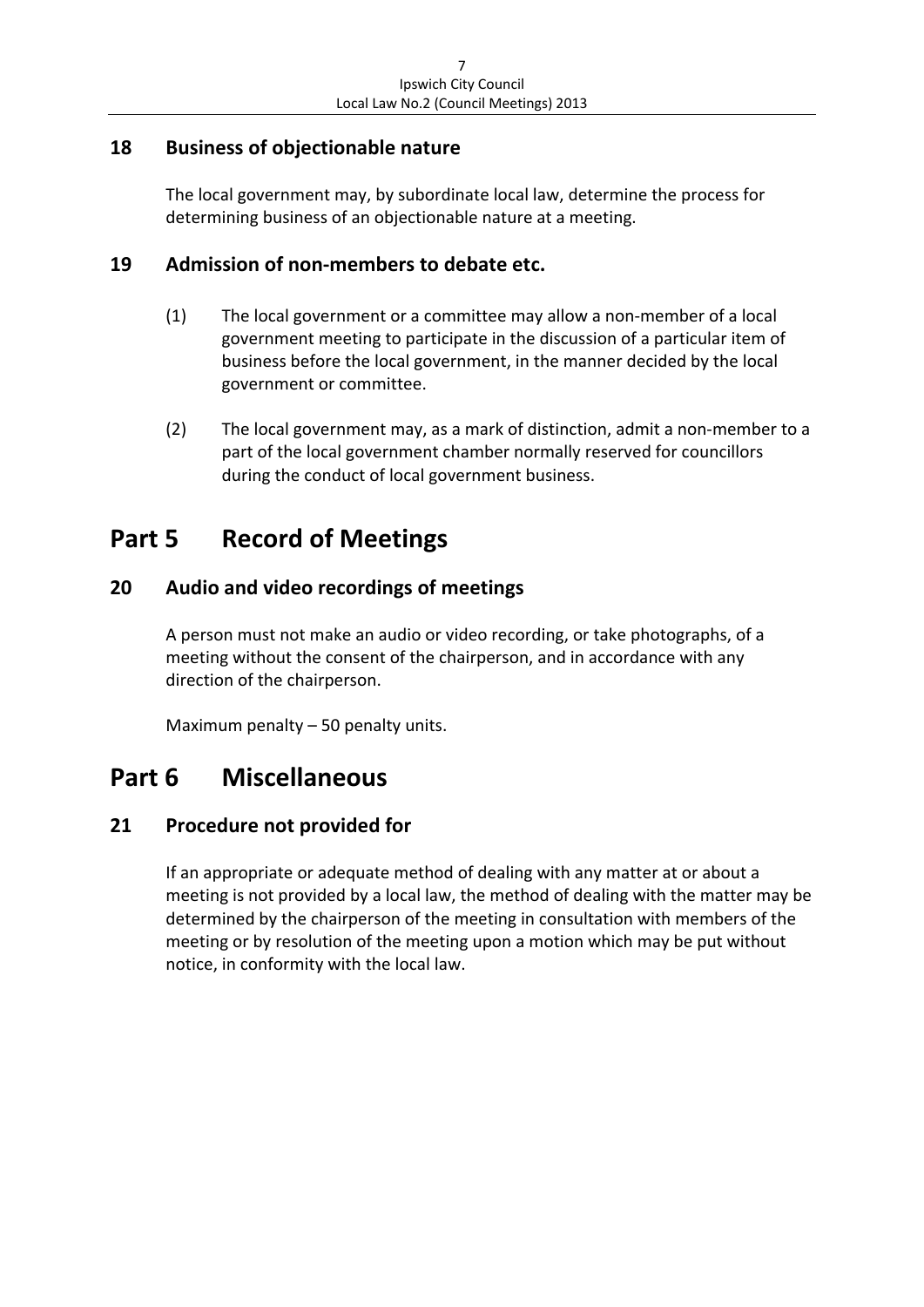### **18 Business of objectionable nature**

The local government may, by subordinate local law, determine the process for determining business of an objectionable nature at a meeting.

## **19 Admission of non‐members to debate etc.**

- (1) The local government or a committee may allow a non‐member of a local government meeting to participate in the discussion of a particular item of business before the local government, in the manner decided by the local government or committee.
- (2) The local government may, as a mark of distinction, admit a non‐member to a part of the local government chamber normally reserved for councillors during the conduct of local government business.

# **Part 5 Record of Meetings**

## **20 Audio and video recordings of meetings**

A person must not make an audio or video recording, or take photographs, of a meeting without the consent of the chairperson, and in accordance with any direction of the chairperson.

Maximum penalty – 50 penalty units.

# **Part 6 Miscellaneous**

## **21 Procedure not provided for**

If an appropriate or adequate method of dealing with any matter at or about a meeting is not provided by a local law, the method of dealing with the matter may be determined by the chairperson of the meeting in consultation with members of the meeting or by resolution of the meeting upon a motion which may be put without notice, in conformity with the local law.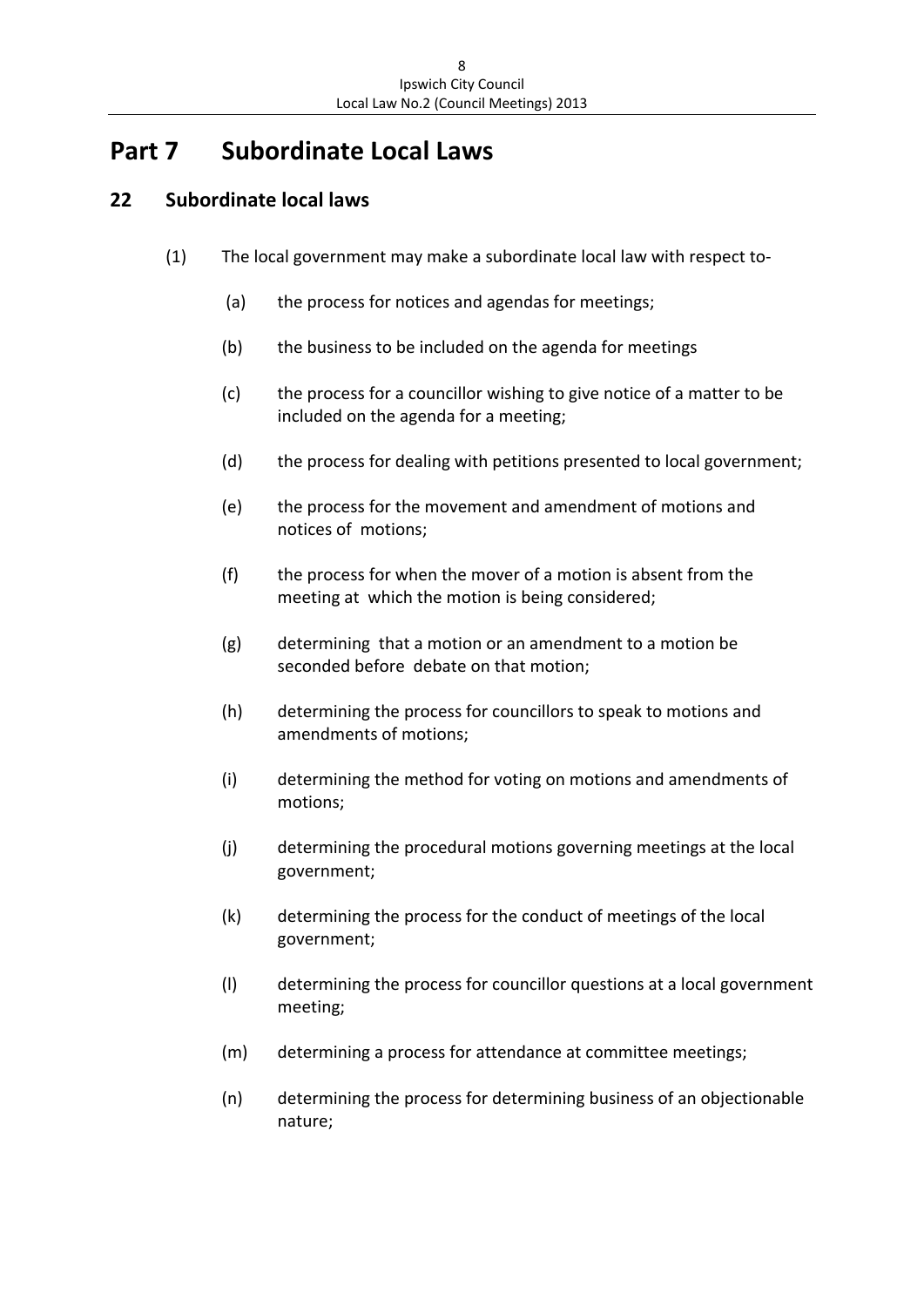# **Part 7 Subordinate Local Laws**

## **22 Subordinate local laws**

- (1) The local government may make a subordinate local law with respect to‐
	- (a) the process for notices and agendas for meetings;
	- (b) the business to be included on the agenda for meetings
	- (c) the process for a councillor wishing to give notice of a matter to be included on the agenda for a meeting;
	- (d) the process for dealing with petitions presented to local government;
	- (e) the process for the movement and amendment of motions and notices of motions;
	- (f) the process for when the mover of a motion is absent from the meeting at which the motion is being considered;
	- (g) determining that a motion or an amendment to a motion be seconded before debate on that motion;
	- (h) determining the process for councillors to speak to motions and amendments of motions;
	- (i) determining the method for voting on motions and amendments of motions;
	- (j) determining the procedural motions governing meetings at the local government;
	- (k) determining the process for the conduct of meetings of the local government;
	- (l) determining the process for councillor questions at a local government meeting;
	- (m) determining a process for attendance at committee meetings;
	- (n) determining the process for determining business of an objectionable nature;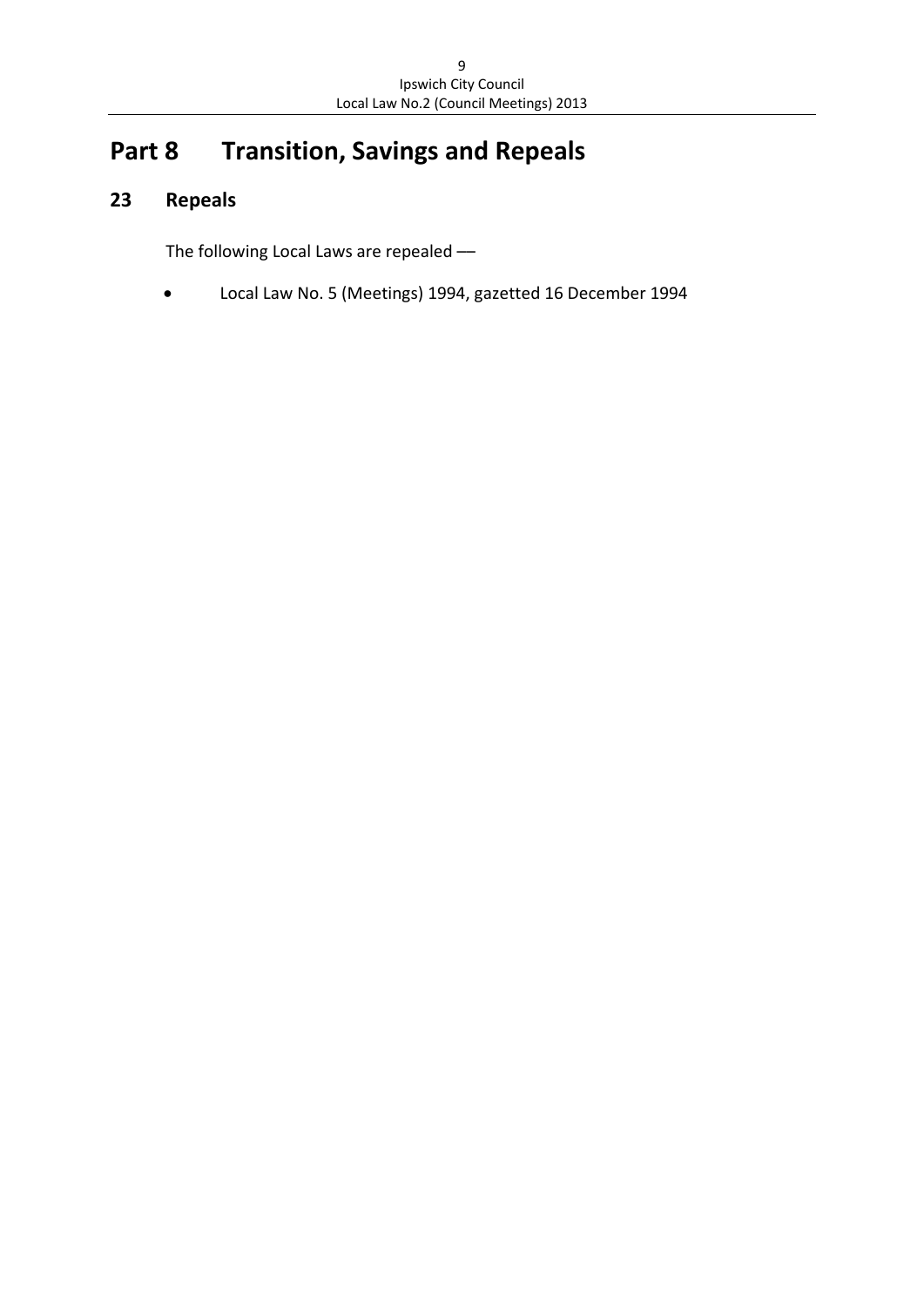# **Part 8 Transition, Savings and Repeals**

# **23 Repeals**

The following Local Laws are repealed ––

Local Law No. 5 (Meetings) 1994, gazetted 16 December 1994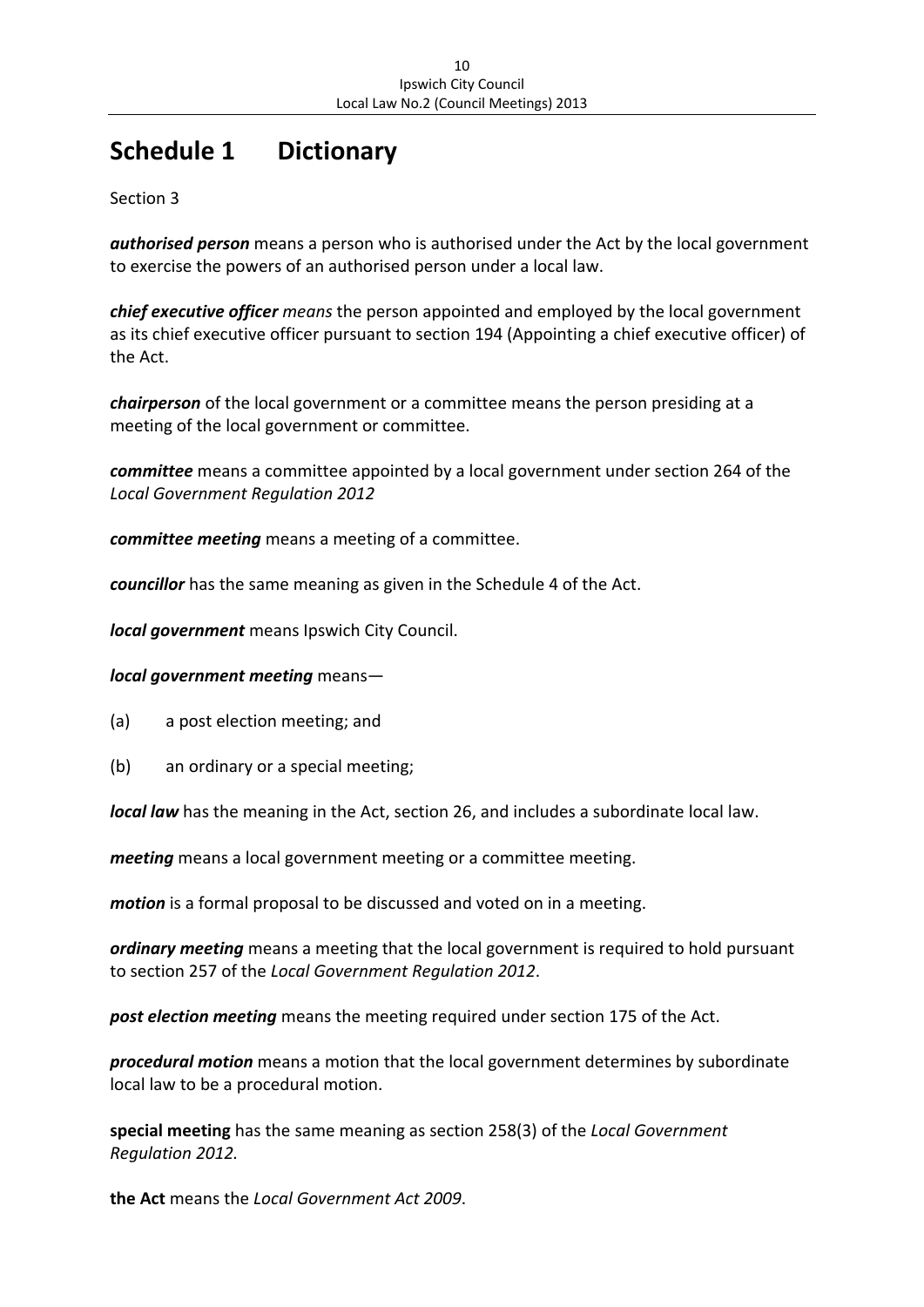# **Schedule 1 Dictionary**

Section 3

*authorised person* means a person who is authorised under the Act by the local government to exercise the powers of an authorised person under a local law.

*chief executive officer means* the person appointed and employed by the local government as its chief executive officer pursuant to section 194 (Appointing a chief executive officer) of the Act.

*chairperson* of the local government or a committee means the person presiding at a meeting of the local government or committee.

*committee* means a committee appointed by a local government under section 264 of the *Local Government Regulation 2012*

*committee meeting* means a meeting of a committee.

*councillor* has the same meaning as given in the Schedule 4 of the Act.

*local government* means Ipswich City Council.

#### *local government meeting* means—

- (a) a post election meeting; and
- (b) an ordinary or a special meeting;

*local law* has the meaning in the Act, section 26, and includes a subordinate local law.

*meeting* means a local government meeting or a committee meeting.

*motion* is a formal proposal to be discussed and voted on in a meeting.

*ordinary meeting* means a meeting that the local government is required to hold pursuant to section 257 of the *Local Government Regulation 2012*.

*post election meeting* means the meeting required under section 175 of the Act.

*procedural motion* means a motion that the local government determines by subordinate local law to be a procedural motion.

**special meeting** has the same meaning as section 258(3) of the *Local Government Regulation 2012.*

**the Act** means the *Local Government Act 2009*.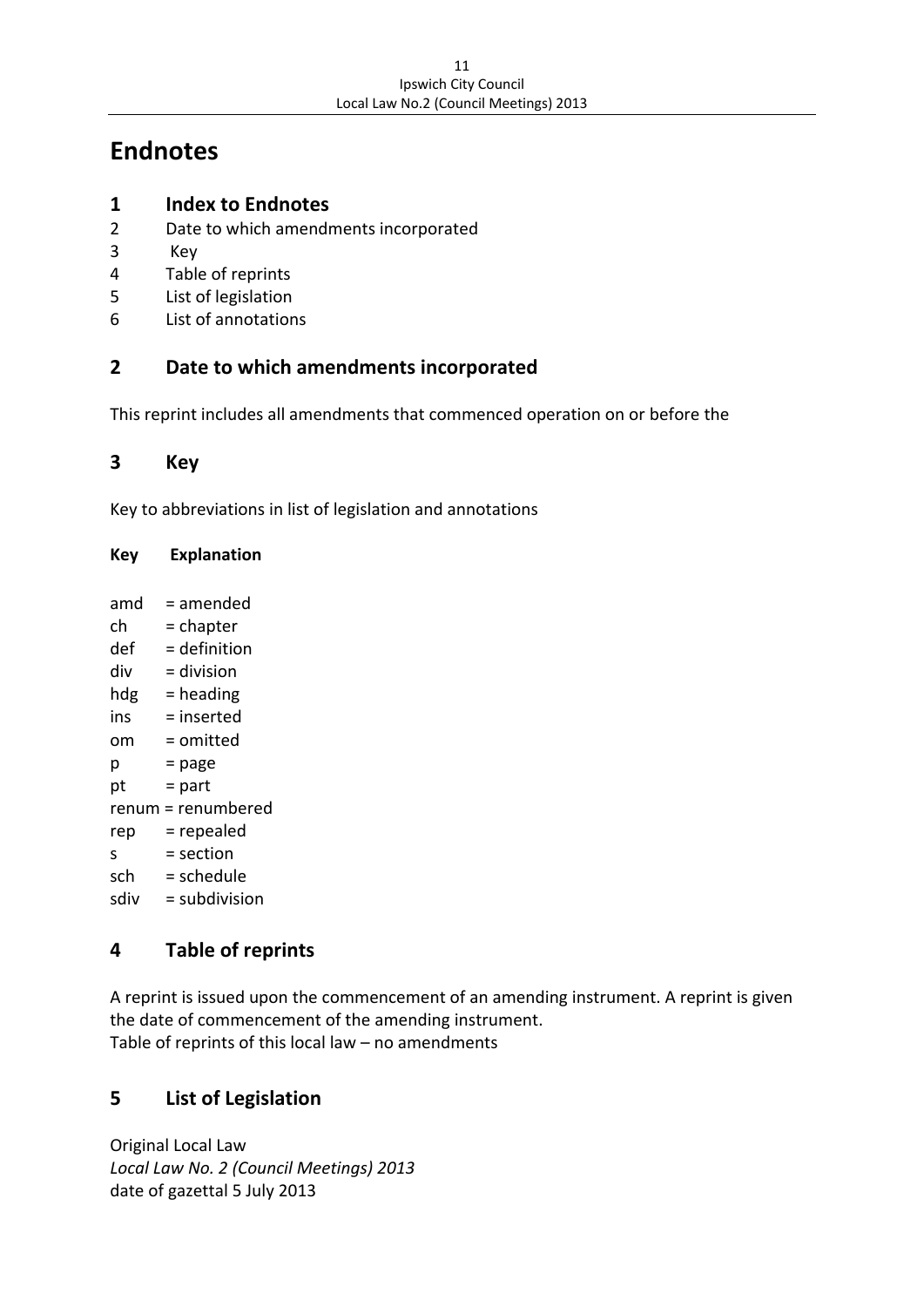# **Endnotes**

## **1 Index to Endnotes**

- 2 Date to which amendments incorporated
- 3 Key
- 4 Table of reprints
- 5 List of legislation
- 6 List of annotations

## **2 Date to which amendments incorporated**

This reprint includes all amendments that commenced operation on or before the

#### **3 Key**

Key to abbreviations in list of legislation and annotations

#### **Key Explanation**

| amd  | = amended          |
|------|--------------------|
| ch   | = chapter          |
| def  | $=$ definition     |
| div  | = division         |
| hdg  | = heading          |
| ins  | $=$ inserted       |
| om   | = omitted          |
| р    | = page             |
| pt   | = part             |
|      | renum = renumbered |
| rep  | = repealed         |
| S    | = section          |
| sch  | = schedule         |
| sdiv | $=$ subdivision    |
|      |                    |

#### **4 Table of reprints**

A reprint is issued upon the commencement of an amending instrument. A reprint is given the date of commencement of the amending instrument. Table of reprints of this local law – no amendments

## **5 List of Legislation**

Original Local Law *Local Law No. 2 (Council Meetings) 2013* date of gazettal 5 July 2013